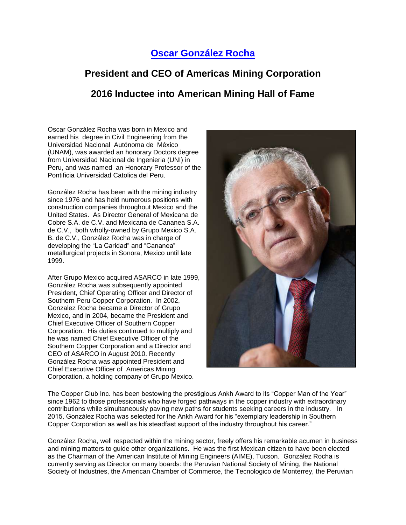## **[Oscar González Rocha](https://youtu.be/U-B6E_4TxQU)**

## **President and CEO of Americas Mining Corporation 2016 Inductee into American Mining Hall of Fame**

Oscar González Rocha was born in Mexico and earned his degree in Civil Engineering from the Universidad Nacional Autónoma de México (UNAM), was awarded an honorary Doctors degree from Universidad Nacional de Ingenieria (UNI) in Peru, and was named an Honorary Professor of the Pontificia Universidad Catolica del Peru.

González Rocha has been with the mining industry since 1976 and has held numerous positions with construction companies throughout Mexico and the United States. As Director General of Mexicana de Cobre S.A. de C.V. and Mexicana de Cananea S.A. de C.V., both wholly-owned by Grupo Mexico S.A. B. de C.V., González Rocha was in charge of developing the "La Caridad" and "Cananea" metallurgical projects in Sonora, Mexico until late 1999.

After Grupo Mexico acquired ASARCO in late 1999, González Rocha was subsequently appointed President, Chief Operating Officer and Director of Southern Peru Copper Corporation. In 2002, Gonzalez Rocha became a Director of Grupo Mexico, and in 2004, became the President and Chief Executive Officer of Southern Copper Corporation. His duties continued to multiply and he was named Chief Executive Officer of the Southern Copper Corporation and a Director and CEO of ASARCO in August 2010. Recently González Rocha was appointed President and Chief Executive Officer of Americas Mining Corporation, a holding company of Grupo Mexico.



The Copper Club Inc. has been bestowing the prestigious Ankh Award to its "Copper Man of the Year" since 1962 to those professionals who have forged pathways in the copper industry with extraordinary contributions while simultaneously paving new paths for students seeking careers in the industry. In 2015, González Rocha was selected for the Ankh Award for his "exemplary leadership in Southern Copper Corporation as well as his steadfast support of the industry throughout his career."

González Rocha, well respected within the mining sector, freely offers his remarkable acumen in business and mining matters to guide other organizations. He was the first Mexican citizen to have been elected as the Chairman of the American Institute of Mining Engineers (AIME), Tucson. González Rocha is currently serving as Director on many boards: the Peruvian National Society of Mining, the National Society of Industries, the American Chamber of Commerce, the Tecnologico de Monterrey, the Peruvian